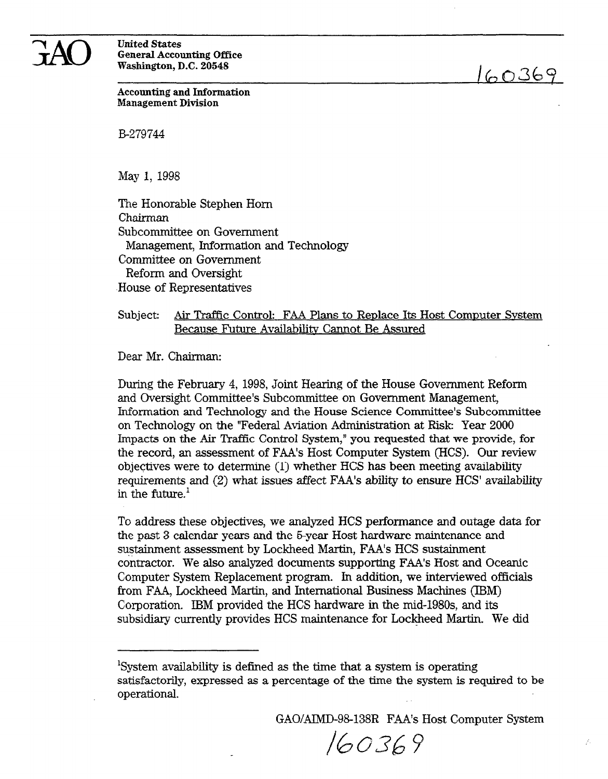

United States General Accounting Office Washington, D.C. 20548

 $160369$ 

Accounting and Information Management Division

B-279744

May 1, 1998

The Honorable Stephen Horn Chairman Subcommittee on Government Management, Information and Technology Committee on Government Reform and Oversight .House of Representatives

# Subject: Air Traffic Control: FAA Plans to Renlace Its Host Commuter Svstem Because Future Availabilitv Cannot Be Assured

Dear Mr. Chairman:

During the February 4, 1998, Joint Hearing of the House Government Reform and Oversight Committee's Subcommittee on Government Management, Information and Technology and the House Science Committee's Subcommittee on Technology on the "Federal Aviation Administration at Risk: Year 2000 Impacts on the Air Traffic Control System," you requested that we provide, for the record, an assessment of FAA's Host Computer System (HCS). Our review objectives were to determine (1) whether HCS has been meeting availability requirements and (2) what issues affect FAA's ability to ensure HCS' availability in the future. $<sup>1</sup>$ </sup>

To address these objectives, we analyzed HCS performance and outage data for the past 3 calendar years and the 5-year Host hardware maintenance and sustainment assessment by Lockheed Martin, FAA's HCS sustainment contractor. We also analyzed documents supporting FAA's Host and Oceanic Computer System Replacement program. In addition, we interviewed officials from FAA, Lockheed Martin, and International Business Machines (IBM) Corporation. IBM provided the HCS hardware in the mid-198Os, and its subsidiary currently provides HCS maintenance for Lockheed Martin. We did

GAO/AIMD-98-138R FAA's Host Computer System

160369

System availability is defined as the time that a system is operating satisfactorily, expressed as a percentage of the time the system is required to be operational.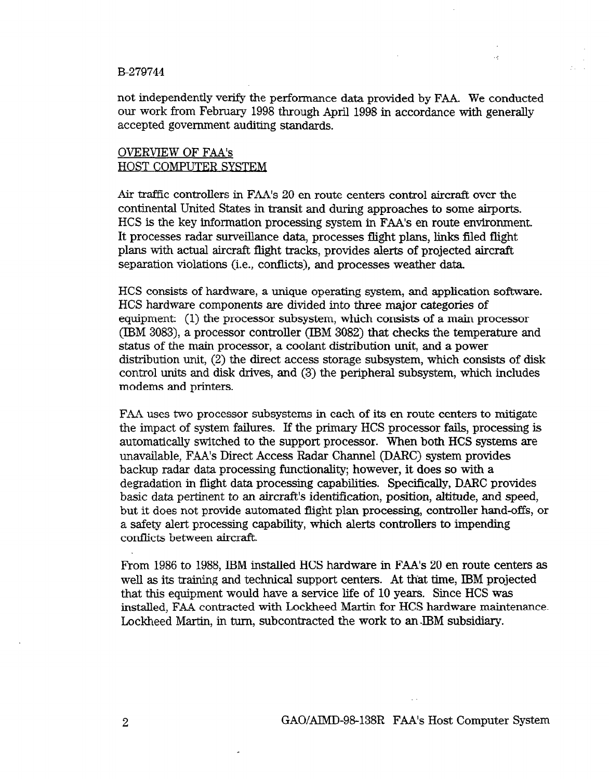not independently verify the performance data provided by FAA. We conducted our work from February 1998 through April 1998 in accordance with generally accepted government auditing standards.

### OVERVIEW OF FAA's HOST COMPUTER SYSTEM

Air traffic controllers in FAA's 20 en route centers control aircraft over the continental United States in transit and during approaches to some airports. HCS is the key information processing system in FAA's en route environment. It processes radar surveillance data, processes flight plans, links ftled flight plans with actual aircraft flight tracks, provides alerts of projected aircraft separation violations (i.e., conflicts), and processes weather data.

HCS consists of hardware, a unique operating system, and application software. HCS hardware components are divided into three major categories of equipment: (1) the processor subsystem, which consists of a main processor (IBM 3083), a processor controller (IBM 3082) that checks the temperature and status of the main processor, a coolant distribution unit, and a power distribution unit, (2) the direct access storage subsystem, which consists of disk control units and disk drives, and (3) the peripheral subsystem, which includes modems and printers.

FAA uses two processor subsystems in each of its en route centers to mitigate the impact of system failures. If the primary HCS processor fails, processing is automatically switched to the support processor. When both HCS systems are unavailable, FAA's Direct Access Radar Channel (DARC) system provides backup radar data processing functionality; however, it does so with a degradation in flight data processing capabilities. Specifically, DARC provides basic data pertinent to an aircraft's identification, position, altitude, and speed, but it does not provide automated flight plan processing, controller hand-offs, or a safety alert processing capability, which alerts controllers to impending conflicts between aircraft.

From 1986 to 1988, IBM installed HCS hardware in FAA's 20 en route centers as well as its training and technical support centers. At that time, IBM projected that this equipment would have a service life of 10 years. Since HCS was installed, FAA contracted with Lockheed Martin for HCS hardware maintenance. Lockheed Martin, in turn, subcontracted the work to an-IBM subsidiary.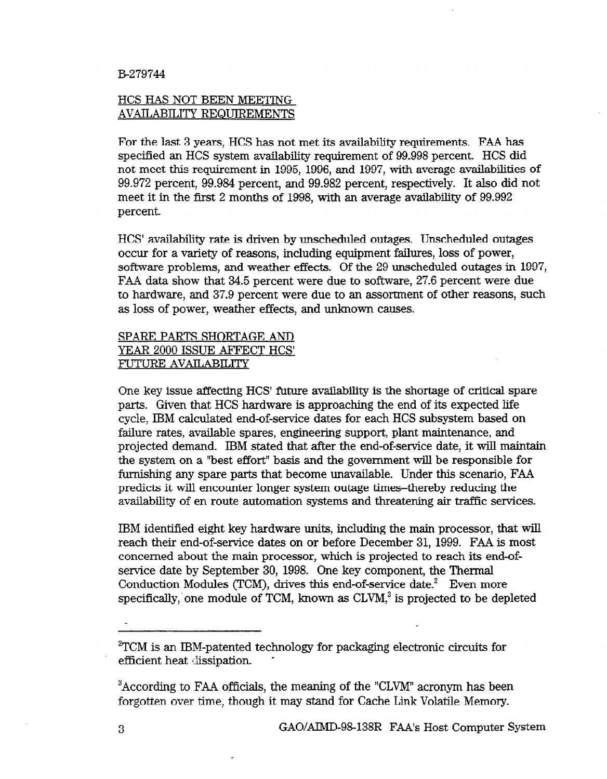## HCS HAS NOT BEEN MEETING AVAILABILITY REQUIREMENTS

For the last 3 years, HCS has not met its availability requirements. FAA has specified an HCS system availability requirement of 99.998 percent. HCS did not meet this requirement in 1995, 1996, and 1997, with average availabilities of 99.972 percent, 99.984 percent, and 99.982 percent, respectively. It also did not meet it in the first 2 months of 1998, with an average availability of 99.992 percent.

HCS' availability rate is driven by unscheduled outages. Unscheduled outages occur for a variety of reasons, including equipment failures, loss of power, software problems, and weather effects. Of the 29 unscheduled outages in 1997, FAA data show that 34.5 percent were due to software, 27.6 percent were due to hardware, and 37.9 percent were due to an assortment of other reasons, such as loss of power, weather effects, and unknown causes.

# SPARE PARTS SHORTAGE AND YEAR 2000 ISSUE AFFECT HCS' FUTURE AVAILABILITY

One key issue affecting HCS' future availability is the shortage of critical spare parts. Given that HCS hardware is approaching the end of its expected life cycle, IBM calculated end-of-service dates for each HCS subsystem based on failure rates, available spares, engineering support, plant maintenance, and projected demand. IBM stated that after the end-of-service date, it will maintain the system on a "best effort" basis and the government will be responsible for furnishing any spare parts that become unavailable. Under this scenario, FAA predicts it will encounter longer system outage times-thereby reducing the availability of en route automation systems and threatening air traffic services.

IBM identified eight key hardware units, including the main processor, that will reach their end-of-service dates on or before December 31, 1999. FAA is most concerned about the main processor, which is projected to reach its end-ofservice date by September 30, 1998. One key component, the Thermal Conduction Modules (TCM), drives this end-of-service date.<sup>2</sup> Even more specifically, one module of TCM, known as  $CLVM$ ,<sup>3</sup> is projected to be depleted

2TCM is an IBM-patented technology for packaging electronic circuits for efficient heat dissipation.

<sup>3</sup>According to FAA officials, the meaning of the "CLVM" acronym has been forgotten over time, though it may stand for Cache Link Volatile Memory.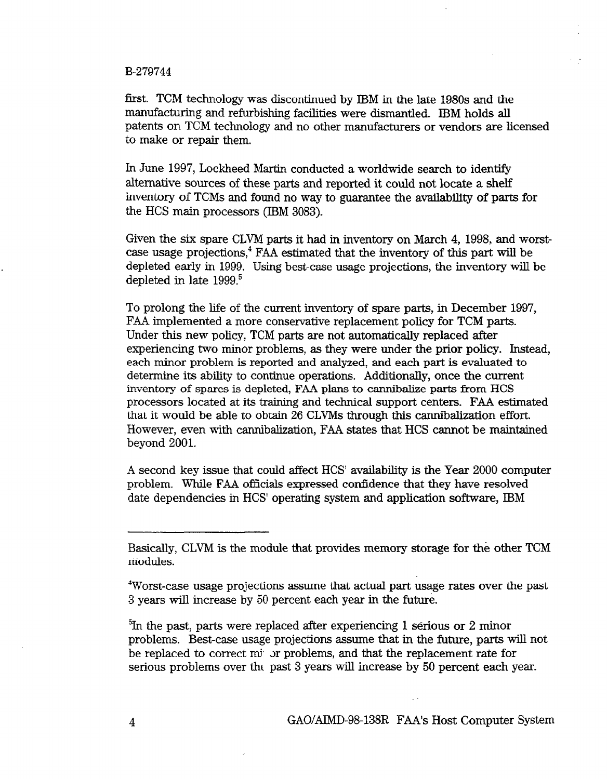first. TCM technology was discontinued by IBM in the late 1980s and the manufacturing and refurbishing facilities were dismantled. IBM holds all patents on TCM technology and no other manufacturers or vendors are licensed to make or repair them.

In June 1997, Lockheed Martin conducted a worldwide search to identify alternative sources of these parts and reported it could not locate a shelf inventory of TCMs and found no way to guarantee the availability of parts for the HCS main processors (IBM 3083).

Given the six spare CLVM parts it had in inventory on March 4, 1998, and worstcase usage projections, $4$  FAA estimated that the inventory of this part will be depleted early in 1999. Using best-case usage projections, the inventory will be depleted in late 1999.<sup>5</sup>

To prolong the life of the current inventory of spare parts, in December 1997, FAA implemented a more conservative replacement policy for TCM parts. Under this new policy, TCM parts are not automatically replaced after experiencing two minor problems, as they were under the prior policy. Instead, each minor problem is reported and analyzed, and each part is evaluated to determine its ability to continue operations. Additionally, once the current inventory of spares is depleted, FAA plans to cannibalize parts from HCS processors located at its training and technical support centers. FAA estimated that it would be able to obtain 26 CLVMs through this cannibalization effort. However, even with cannibalization, FAA states that HCS cannot be maintained beyond 2001.

A second key issue that could affect HCS' availability is the Year 2000 computer problem. While FAA officials expressed confidence that they have resolved date dependencies in HCS' operating system and application software, IBM

4 GACYAIMD-98-138R FAA's Host Computer System

Basically, CLVM is the module that provides memory storage for the other TCM modules.

<sup>4</sup>Worst-case usage projections assume that actual part usage rates over the past 3 years will increase by 50 percent each year in the future.

 ${}^{5}$ In the past, parts were replaced after experiencing 1 serious or 2 minor problems. Best-case usage projections assume that in the future, parts will not be replaced to correct m<sup>i</sup> or problems, and that the replacement rate for serious problems over tht past 3 years will increase by 50 percent each year.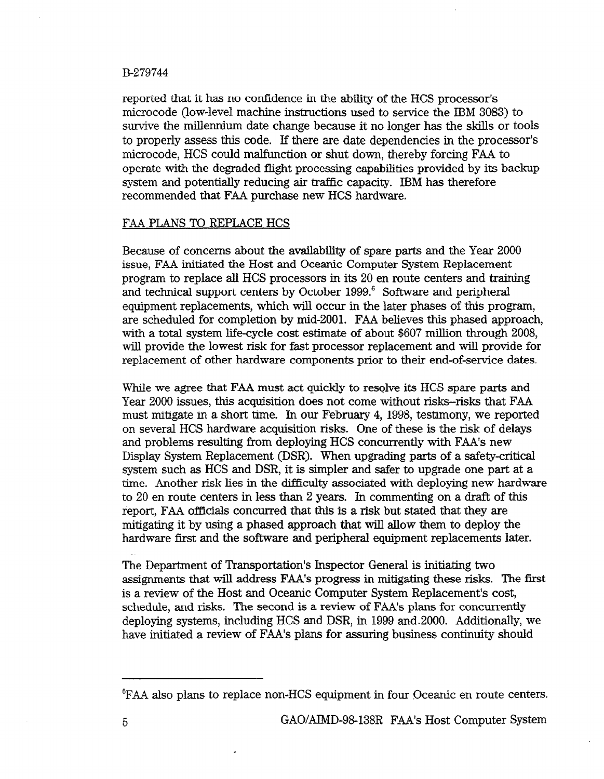reported that it has no confidence in the ability of the HCS processor's microcode (low-level machine instructions used to service the IBM 3083) to survive the millennium date change because it no longer has the skills or tools to properly assess this code. If there are date dependencies in the processor's microcode, HCS could malfunction or shut down, thereby forcing FAA to operate with the degraded flight processing capabilities provided by its backup system and potentially reducing air traffic capacity. IBM has therefore recommended that FAA purchase new HCS hardware.

### FAA PLANS TO REPLACE HCS

Because of concerns about the availability of spare parts and the Year 2000 issue, FAA initiated the Host and Oceanic Computer System Replacement program to replace all HCS processors in its 20 en route centers and training and technical support centers by October 1999.<sup>6</sup> Software and peripheral equipment replacements, which will occur in the later phases of this program, are scheduled for completion by mid-2001. FAA believes this phased approach, with a total system life-cycle cost estimate of about \$607 million through 2008, will provide the lowest risk for fast processor replacement and will provide for replacement of other hardware components prior to their end-of-service dates.

While we agree that FAA must act quickly to resolve its HCS spare parts and Year 2000 issues, this acquisition does not come without risks-risks that FAA must mitigate in a short time. In our February 4, 1998, testimony, we reported on several HCS hardware acquisition risks. One of these is the risk of delays and problems resulting from deploying HCS concurrently with FAA's new Display System Replacement (DSR). When upgrading parts of a safety-critical system such as HCS and DSR, it is simpler and safer to upgrade one part at a time. Another risk lies in the difficulty associated with deploying new hardware to 20 en route centers in less than 2 years. In commenting on a draft of this report, FAA officials concurred that this is a risk but stated that they are mitigating it by using a phased approach that will allow them to deploy the hardware first and the software and peripheral equipment replacements later.

The Department of Transportation's Inspector General is initiating two assignments that will address FAA's progress in mitigating these risks. The first is a review of the Host and Oceanic Computer System Replacement's cost, schedule, and risks. The second is a review of FAA's plans for concurrently deploying systems, including HCS and DSR, in 1999 and-2000. Additionally, we have initiated a review of FAA's plans for assuring business continuity should

<sup>&#</sup>x27;FAA also plans to replace non-HCS equipment in four Oceanic en route centers.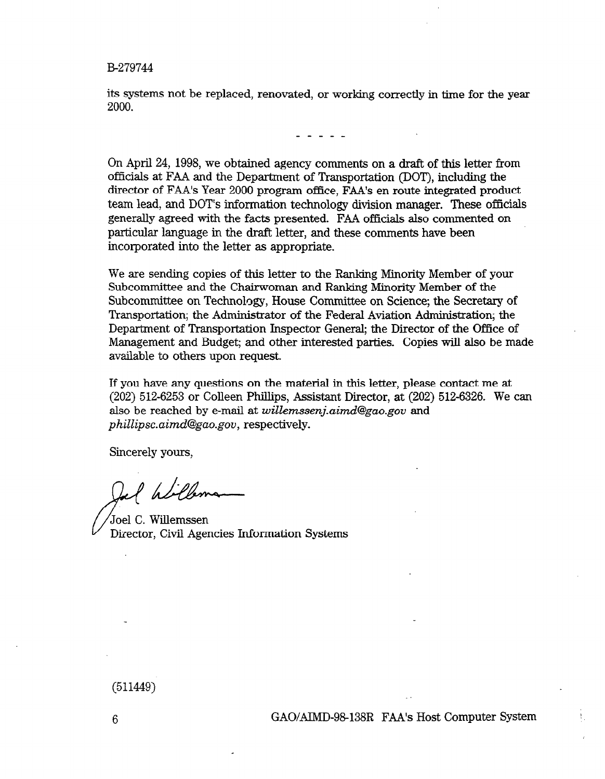its systems not be replaced, renovated, or working correctly in time for the year 2000.

On April 24, 1998, we obtained agency comments on a draft of this letter from officials at FAA and the Department of Transportation (DOT), including the director of FAA's Year 2000 program office, FAA's en route integrated product team lead, and DOT's information technology division manager. These officials generally agreed with the facts presented. FAA officials also commented on particular language in the draft letter, and these comments have been incorporated into the letter as appropriate.

We are sending copies of this letter to the Ranking Minority Member of your Subcommittee and the Chairwoman and Ranking Minority Member of the Subcommittee on Technology, House Committee on Science; the Secretary of Transportation; the Administrator of the Federal Aviation Administration; the Department of Transportation Inspector General; the Director of the Office of Management and Budget; and other interested parties. Copies will also be made available to others upon request.

Lf you have any questions on the material in this letter, please contact me at  $(202)$  512-6253 or Colleen Phillips, Assistant Director, at  $(202)$  512-6326. We can also be reached by e-mail at willemssenj.aimd@gao.gov and phillipsc.aimd@gao.gov, respectively.

Sincerely yours,

l Williams

Joel C. Willemssen Director, Civil Agencies Information Systems

(511449)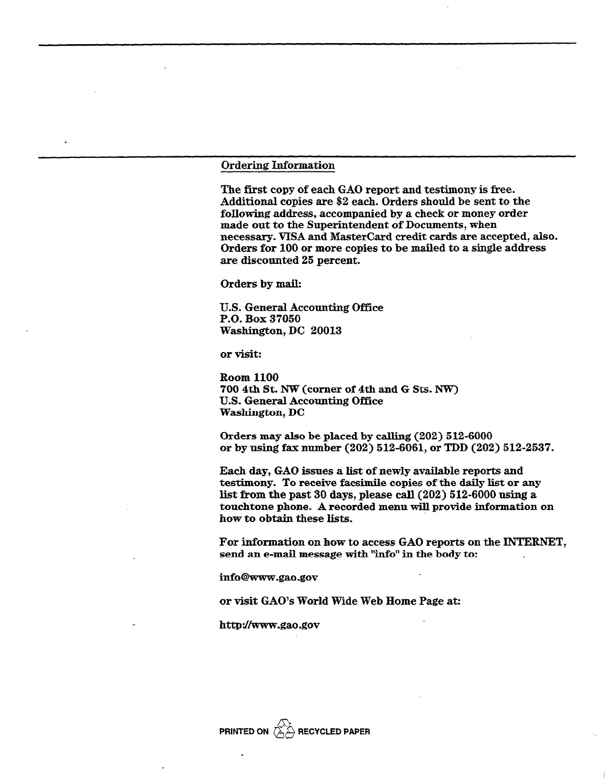#### Ordering Information

The first copy of each GAO report and testimony is free. Additional copies are \$2 each. Orders should be sent to the following address, accompanied by a check or money order made out to the Superintendent of Documents, when necessary. VISA and Mastercard credit cards are accepted, also. Orders for 100 or more copies to be mailed to a single address are discounted 25 percent.

Orders by mail:

U.S. General Accounting Office P.O. Box 37050 Washington, DC 20013

or visit:

Room 1100 700 4th St. NW (corner of 4th and G Sts. NW) U.S. General Accounting Office Washington, DC

Orders may also be placed by calling (202) 512-6000 or by using fax number (202) 512-6061, or TDD (202) 512-2537.

Each day, GAO issues a list of newly available reports and testimony. To receive facsimile copies of the daily list or any list from the past 30 days, please call (202) 512-6000 using a touchtone phone. A recorded menu will provide information on how to obtain these lists.

For information on how to access GAO reports on the INTERNET, send an e-mail message with "info" in the body to:

info@www.gao .gov

or visit GAO's World Wide Web Home Page at:

http://www.gao.gov